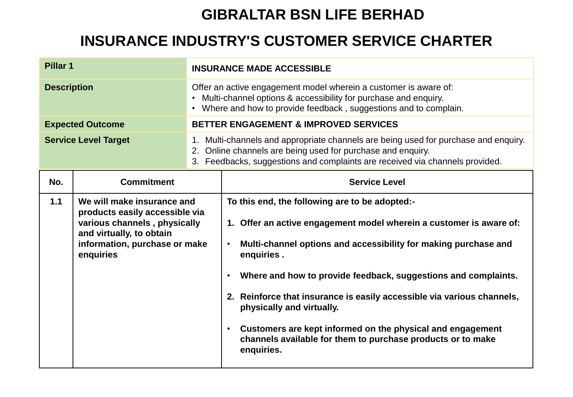## **GIBRALTAR BSN LIFE BERHAD**

## **INSURANCE INDUSTRY'S CUSTOMER SERVICE CHARTER**

| Pillar <sub>1</sub>         |                                                                                                                                                                        | <b>INSURANCE MADE ACCESSIBLE</b>                                                                                                                                                                                                   |                                                                                                                                                                                                                                                                                                                                                                                                                                                                                                                                                                   |  |
|-----------------------------|------------------------------------------------------------------------------------------------------------------------------------------------------------------------|------------------------------------------------------------------------------------------------------------------------------------------------------------------------------------------------------------------------------------|-------------------------------------------------------------------------------------------------------------------------------------------------------------------------------------------------------------------------------------------------------------------------------------------------------------------------------------------------------------------------------------------------------------------------------------------------------------------------------------------------------------------------------------------------------------------|--|
| <b>Description</b>          |                                                                                                                                                                        | Offer an active engagement model wherein a customer is aware of:<br>Multi-channel options & accessibility for purchase and enquiry.<br>Where and how to provide feedback, suggestions and to complain.<br>$\bullet$                |                                                                                                                                                                                                                                                                                                                                                                                                                                                                                                                                                                   |  |
|                             | <b>Expected Outcome</b>                                                                                                                                                | <b>BETTER ENGAGEMENT &amp; IMPROVED SERVICES</b>                                                                                                                                                                                   |                                                                                                                                                                                                                                                                                                                                                                                                                                                                                                                                                                   |  |
| <b>Service Level Target</b> |                                                                                                                                                                        | 1. Multi-channels and appropriate channels are being used for purchase and enquiry.<br>2. Online channels are being used for purchase and enquiry.<br>3. Feedbacks, suggestions and complaints are received via channels provided. |                                                                                                                                                                                                                                                                                                                                                                                                                                                                                                                                                                   |  |
| No.                         | <b>Commitment</b>                                                                                                                                                      |                                                                                                                                                                                                                                    | <b>Service Level</b>                                                                                                                                                                                                                                                                                                                                                                                                                                                                                                                                              |  |
| 1.1                         | We will make insurance and<br>products easily accessible via<br>various channels, physically<br>and virtually, to obtain<br>information, purchase or make<br>enquiries |                                                                                                                                                                                                                                    | To this end, the following are to be adopted:-<br>1. Offer an active engagement model wherein a customer is aware of:<br>Multi-channel options and accessibility for making purchase and<br>$\bullet$<br>enquiries.<br>Where and how to provide feedback, suggestions and complaints.<br>$\bullet$<br>2. Reinforce that insurance is easily accessible via various channels,<br>physically and virtually.<br>Customers are kept informed on the physical and engagement<br>$\bullet$<br>channels available for them to purchase products or to make<br>enquiries. |  |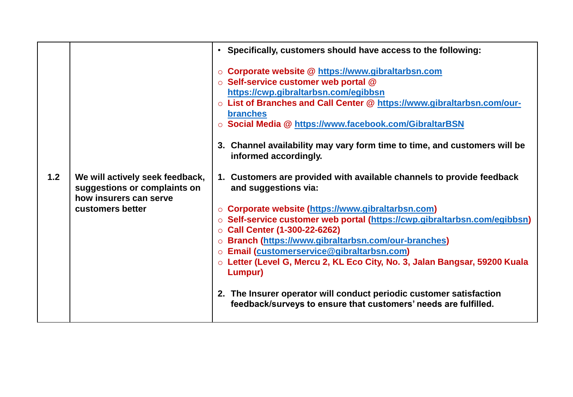|                                                                                                                      | • Specifically, customers should have access to the following:                                                                                                                                                                                                                                                                                                                                                                                                                                                                                                                                                                                                                                                                                                                                                                                                                                                                                                                                                      |
|----------------------------------------------------------------------------------------------------------------------|---------------------------------------------------------------------------------------------------------------------------------------------------------------------------------------------------------------------------------------------------------------------------------------------------------------------------------------------------------------------------------------------------------------------------------------------------------------------------------------------------------------------------------------------------------------------------------------------------------------------------------------------------------------------------------------------------------------------------------------------------------------------------------------------------------------------------------------------------------------------------------------------------------------------------------------------------------------------------------------------------------------------|
| 1.2<br>We will actively seek feedback,<br>suggestions or complaints on<br>how insurers can serve<br>customers better | ○ Corporate website @ https://www.gibraltarbsn.com<br>○ Self-service customer web portal @<br>https://cwp.gibraltarbsn.com/egibbsn<br>o List of Branches and Call Center @ https://www.gibraltarbsn.com/our-<br><b>branches</b><br>○ Social Media @ https://www.facebook.com/GibraltarBSN<br>3. Channel availability may vary form time to time, and customers will be<br>informed accordingly.<br>1. Customers are provided with available channels to provide feedback<br>and suggestions via:<br>○ Corporate website (https://www.gibraltarbsn.com)<br>o Self-service customer web portal (https://cwp.gibraltarbsn.com/egibbsn)<br>$\circ$ Call Center (1-300-22-6262)<br>o Branch (https://www.gibraltarbsn.com/our-branches)<br>o Email (customerservice@gibraltarbsn.com)<br>○ Letter (Level G, Mercu 2, KL Eco City, No. 3, Jalan Bangsar, 59200 Kuala<br>Lumpur)<br>2. The Insurer operator will conduct periodic customer satisfaction<br>feedback/surveys to ensure that customers' needs are fulfilled. |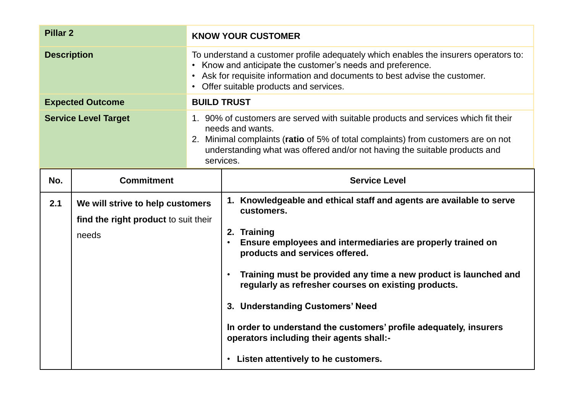| <b>Pillar 2</b>             |                                                                                   | <b>KNOW YOUR CUSTOMER</b>                                                                                                                                                                                                                                                                                                                                                                                                                                                                                                                               |  |  |
|-----------------------------|-----------------------------------------------------------------------------------|---------------------------------------------------------------------------------------------------------------------------------------------------------------------------------------------------------------------------------------------------------------------------------------------------------------------------------------------------------------------------------------------------------------------------------------------------------------------------------------------------------------------------------------------------------|--|--|
| <b>Description</b>          |                                                                                   | To understand a customer profile adequately which enables the insurers operators to:<br>• Know and anticipate the customer's needs and preference.<br>• Ask for requisite information and documents to best advise the customer.<br>• Offer suitable products and services.                                                                                                                                                                                                                                                                             |  |  |
|                             | <b>Expected Outcome</b>                                                           | <b>BUILD TRUST</b>                                                                                                                                                                                                                                                                                                                                                                                                                                                                                                                                      |  |  |
| <b>Service Level Target</b> |                                                                                   | 1. 90% of customers are served with suitable products and services which fit their<br>needs and wants.<br>2. Minimal complaints (ratio of 5% of total complaints) from customers are on not<br>understanding what was offered and/or not having the suitable products and<br>services.                                                                                                                                                                                                                                                                  |  |  |
| No.                         | <b>Commitment</b>                                                                 | <b>Service Level</b>                                                                                                                                                                                                                                                                                                                                                                                                                                                                                                                                    |  |  |
| 2.1                         | We will strive to help customers<br>find the right product to suit their<br>needs | 1. Knowledgeable and ethical staff and agents are available to serve<br>customers.<br>2. Training<br>Ensure employees and intermediaries are properly trained on<br>$\bullet$<br>products and services offered.<br>Training must be provided any time a new product is launched and<br>$\bullet$<br>regularly as refresher courses on existing products.<br>3. Understanding Customers' Need<br>In order to understand the customers' profile adequately, insurers<br>operators including their agents shall:-<br>• Listen attentively to he customers. |  |  |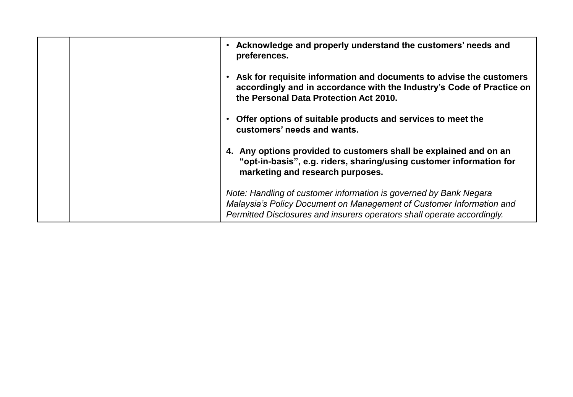| Acknowledge and properly understand the customers' needs and<br>preferences.<br>Ask for requisite information and documents to advise the customers<br>accordingly and in accordance with the Industry's Code of Practice on<br>the Personal Data Protection Act 2010.<br>Offer options of suitable products and services to meet the<br>customers' needs and wants.<br>4. Any options provided to customers shall be explained and on an<br>"opt-in-basis", e.g. riders, sharing/using customer information for<br>marketing and research purposes. |
|------------------------------------------------------------------------------------------------------------------------------------------------------------------------------------------------------------------------------------------------------------------------------------------------------------------------------------------------------------------------------------------------------------------------------------------------------------------------------------------------------------------------------------------------------|
| Note: Handling of customer information is governed by Bank Negara<br>Malaysia's Policy Document on Management of Customer Information and<br>Permitted Disclosures and insurers operators shall operate accordingly.                                                                                                                                                                                                                                                                                                                                 |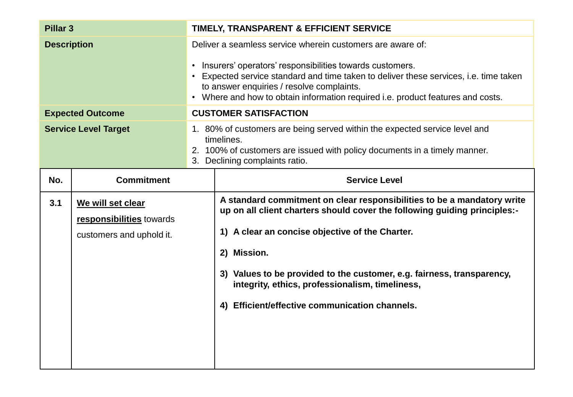| <b>Pillar 3</b>             |                                                                           | TIMELY, TRANSPARENT & EFFICIENT SERVICE                                                                                                                                                                                                                                                                                                           |                                                                                                                                                                                                                                                                                                                                                                                                       |
|-----------------------------|---------------------------------------------------------------------------|---------------------------------------------------------------------------------------------------------------------------------------------------------------------------------------------------------------------------------------------------------------------------------------------------------------------------------------------------|-------------------------------------------------------------------------------------------------------------------------------------------------------------------------------------------------------------------------------------------------------------------------------------------------------------------------------------------------------------------------------------------------------|
| <b>Description</b>          |                                                                           | Deliver a seamless service wherein customers are aware of:<br>• Insurers' operators' responsibilities towards customers.<br>• Expected service standard and time taken to deliver these services, i.e. time taken<br>to answer enquiries / resolve complaints.<br>• Where and how to obtain information required i.e. product features and costs. |                                                                                                                                                                                                                                                                                                                                                                                                       |
|                             | <b>Expected Outcome</b>                                                   |                                                                                                                                                                                                                                                                                                                                                   | <b>CUSTOMER SATISFACTION</b>                                                                                                                                                                                                                                                                                                                                                                          |
| <b>Service Level Target</b> |                                                                           | 1. 80% of customers are being served within the expected service level and<br>timelines.<br>2. 100% of customers are issued with policy documents in a timely manner.<br>3. Declining complaints ratio.                                                                                                                                           |                                                                                                                                                                                                                                                                                                                                                                                                       |
| No.                         | <b>Commitment</b>                                                         |                                                                                                                                                                                                                                                                                                                                                   | <b>Service Level</b>                                                                                                                                                                                                                                                                                                                                                                                  |
| 3.1                         | We will set clear<br>responsibilities towards<br>customers and uphold it. |                                                                                                                                                                                                                                                                                                                                                   | A standard commitment on clear responsibilities to be a mandatory write<br>up on all client charters should cover the following guiding principles:-<br>1) A clear an concise objective of the Charter.<br>2) Mission.<br>3) Values to be provided to the customer, e.g. fairness, transparency,<br>integrity, ethics, professionalism, timeliness,<br>4) Efficient/effective communication channels. |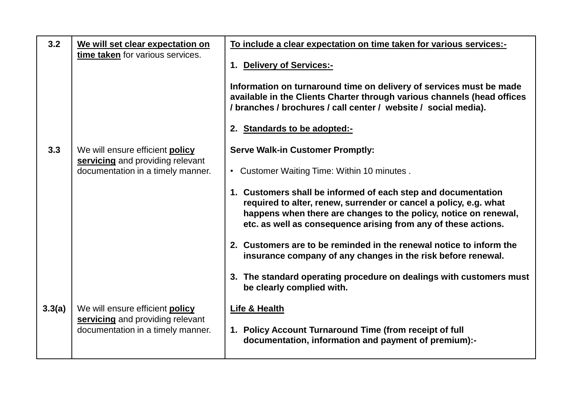| 3.2    | We will set clear expectation on                                      | To include a clear expectation on time taken for various services:-                                                                                                                                                                                                      |
|--------|-----------------------------------------------------------------------|--------------------------------------------------------------------------------------------------------------------------------------------------------------------------------------------------------------------------------------------------------------------------|
|        | time taken for various services.                                      | 1. Delivery of Services:-                                                                                                                                                                                                                                                |
|        |                                                                       | Information on turnaround time on delivery of services must be made<br>available in the Clients Charter through various channels (head offices<br>/ branches / brochures / call center / website / social media).                                                        |
|        |                                                                       | 2. Standards to be adopted:-                                                                                                                                                                                                                                             |
| 3.3    | We will ensure efficient policy                                       | <b>Serve Walk-in Customer Promptly:</b>                                                                                                                                                                                                                                  |
|        | servicing and providing relevant<br>documentation in a timely manner. | • Customer Waiting Time: Within 10 minutes.                                                                                                                                                                                                                              |
|        |                                                                       | 1. Customers shall be informed of each step and documentation<br>required to alter, renew, surrender or cancel a policy, e.g. what<br>happens when there are changes to the policy, notice on renewal,<br>etc. as well as consequence arising from any of these actions. |
|        |                                                                       | 2. Customers are to be reminded in the renewal notice to inform the<br>insurance company of any changes in the risk before renewal.                                                                                                                                      |
|        |                                                                       | 3. The standard operating procedure on dealings with customers must<br>be clearly complied with.                                                                                                                                                                         |
| 3.3(a) | We will ensure efficient policy                                       | <b>Life &amp; Health</b>                                                                                                                                                                                                                                                 |
|        | servicing and providing relevant<br>documentation in a timely manner. | 1. Policy Account Turnaround Time (from receipt of full<br>documentation, information and payment of premium):-                                                                                                                                                          |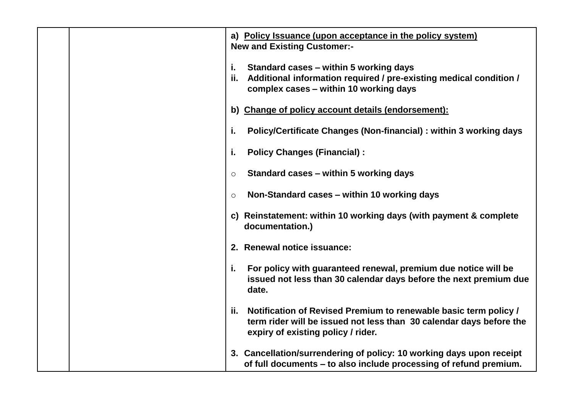| a) Policy Issuance (upon acceptance in the policy system)                                                                                                                            |
|--------------------------------------------------------------------------------------------------------------------------------------------------------------------------------------|
| <b>New and Existing Customer:-</b>                                                                                                                                                   |
| i.<br>Standard cases – within 5 working days                                                                                                                                         |
| Additional information required / pre-existing medical condition /<br>ii.<br>complex cases - within 10 working days                                                                  |
| b) Change of policy account details (endorsement):                                                                                                                                   |
| Policy/Certificate Changes (Non-financial) : within 3 working days<br>i.                                                                                                             |
| <b>Policy Changes (Financial):</b><br>i.                                                                                                                                             |
| Standard cases – within 5 working days<br>$\circ$                                                                                                                                    |
| Non-Standard cases – within 10 working days<br>$\circ$                                                                                                                               |
| c) Reinstatement: within 10 working days (with payment & complete<br>documentation.)                                                                                                 |
| 2. Renewal notice issuance:                                                                                                                                                          |
| For policy with guaranteed renewal, premium due notice will be<br>i.<br>issued not less than 30 calendar days before the next premium due<br>date.                                   |
| Notification of Revised Premium to renewable basic term policy /<br>ii.<br>term rider will be issued not less than 30 calendar days before the<br>expiry of existing policy / rider. |
| 3. Cancellation/surrendering of policy: 10 working days upon receipt<br>of full documents - to also include processing of refund premium.                                            |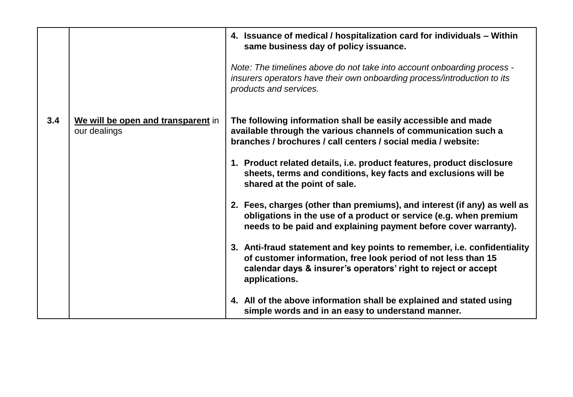|     |                                                    | 4. Issuance of medical / hospitalization card for individuals - Within<br>same business day of policy issuance.                                                                                                              |
|-----|----------------------------------------------------|------------------------------------------------------------------------------------------------------------------------------------------------------------------------------------------------------------------------------|
|     |                                                    | Note: The timelines above do not take into account onboarding process -<br>insurers operators have their own onboarding process/introduction to its<br>products and services.                                                |
| 3.4 | We will be open and transparent in<br>our dealings | The following information shall be easily accessible and made<br>available through the various channels of communication such a<br>branches / brochures / call centers / social media / website:                             |
|     |                                                    | 1. Product related details, i.e. product features, product disclosure<br>sheets, terms and conditions, key facts and exclusions will be<br>shared at the point of sale.                                                      |
|     |                                                    | 2. Fees, charges (other than premiums), and interest (if any) as well as<br>obligations in the use of a product or service (e.g. when premium<br>needs to be paid and explaining payment before cover warranty).             |
|     |                                                    | 3. Anti-fraud statement and key points to remember, i.e. confidentiality<br>of customer information, free look period of not less than 15<br>calendar days & insurer's operators' right to reject or accept<br>applications. |
|     |                                                    | 4. All of the above information shall be explained and stated using<br>simple words and in an easy to understand manner.                                                                                                     |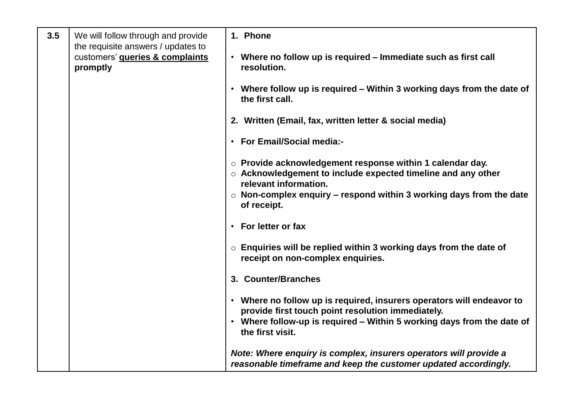| 3.5 | We will follow through and provide                                                           | 1. Phone                                                                                                                                                                                                                                    |
|-----|----------------------------------------------------------------------------------------------|---------------------------------------------------------------------------------------------------------------------------------------------------------------------------------------------------------------------------------------------|
|     | the requisite answers / updates to<br>customers' <b>queries &amp; complaints</b><br>promptly | • Where no follow up is required – Immediate such as first call<br>resolution.                                                                                                                                                              |
|     |                                                                                              | Where follow up is required – Within 3 working days from the date of<br>the first call.                                                                                                                                                     |
|     |                                                                                              | 2. Written (Email, fax, written letter & social media)                                                                                                                                                                                      |
|     |                                                                                              | <b>For Email/Social media:-</b><br>$\bullet$                                                                                                                                                                                                |
|     |                                                                                              | $\circ$ Provide acknowledgement response within 1 calendar day.<br>$\circ$ Acknowledgement to include expected timeline and any other<br>relevant information.<br>$\circ$ Non-complex enquiry – respond within 3 working days from the date |
|     |                                                                                              | of receipt.                                                                                                                                                                                                                                 |
|     |                                                                                              | For letter or fax                                                                                                                                                                                                                           |
|     |                                                                                              | $\circ$ Enquiries will be replied within 3 working days from the date of<br>receipt on non-complex enquiries.                                                                                                                               |
|     |                                                                                              | 3. Counter/Branches                                                                                                                                                                                                                         |
|     |                                                                                              | • Where no follow up is required, insurers operators will endeavor to<br>provide first touch point resolution immediately.<br>• Where follow-up is required - Within 5 working days from the date of<br>the first visit.                    |
|     |                                                                                              | Note: Where enguiry is complex, insurers operators will provide a<br>reasonable timeframe and keep the customer updated accordingly.                                                                                                        |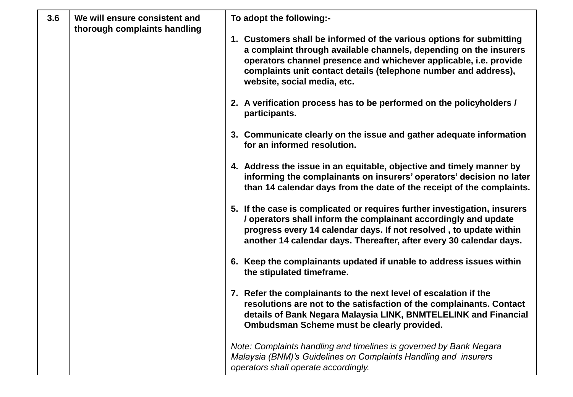| 3.6 | We will ensure consistent and<br>thorough complaints handling | To adopt the following:-                                                                                                                                                                                                                                                                                         |
|-----|---------------------------------------------------------------|------------------------------------------------------------------------------------------------------------------------------------------------------------------------------------------------------------------------------------------------------------------------------------------------------------------|
|     |                                                               | 1. Customers shall be informed of the various options for submitting<br>a complaint through available channels, depending on the insurers<br>operators channel presence and whichever applicable, i.e. provide<br>complaints unit contact details (telephone number and address),<br>website, social media, etc. |
|     |                                                               | 2. A verification process has to be performed on the policyholders /<br>participants.                                                                                                                                                                                                                            |
|     |                                                               | 3. Communicate clearly on the issue and gather adequate information<br>for an informed resolution.                                                                                                                                                                                                               |
|     |                                                               | 4. Address the issue in an equitable, objective and timely manner by<br>informing the complainants on insurers' operators' decision no later<br>than 14 calendar days from the date of the receipt of the complaints.                                                                                            |
|     |                                                               | 5. If the case is complicated or requires further investigation, insurers<br>/ operators shall inform the complainant accordingly and update<br>progress every 14 calendar days. If not resolved, to update within<br>another 14 calendar days. Thereafter, after every 30 calendar days.                        |
|     |                                                               | 6. Keep the complainants updated if unable to address issues within<br>the stipulated timeframe.                                                                                                                                                                                                                 |
|     |                                                               | 7. Refer the complainants to the next level of escalation if the<br>resolutions are not to the satisfaction of the complainants. Contact<br>details of Bank Negara Malaysia LINK, BNMTELELINK and Financial<br>Ombudsman Scheme must be clearly provided.                                                        |
|     |                                                               | Note: Complaints handling and timelines is governed by Bank Negara<br>Malaysia (BNM)'s Guidelines on Complaints Handling and insurers<br>operators shall operate accordingly.                                                                                                                                    |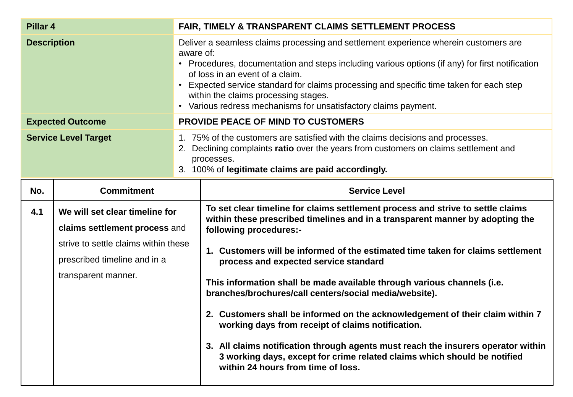| Pillar 4                    |                                                                                                                                                                | <b>FAIR, TIMELY &amp; TRANSPARENT CLAIMS SETTLEMENT PROCESS</b>                                                                                                                                                                                                                                                                                                                                                                                                                                                                                                                                                                                                                                                                                                                                          |  |
|-----------------------------|----------------------------------------------------------------------------------------------------------------------------------------------------------------|----------------------------------------------------------------------------------------------------------------------------------------------------------------------------------------------------------------------------------------------------------------------------------------------------------------------------------------------------------------------------------------------------------------------------------------------------------------------------------------------------------------------------------------------------------------------------------------------------------------------------------------------------------------------------------------------------------------------------------------------------------------------------------------------------------|--|
| <b>Description</b>          |                                                                                                                                                                | Deliver a seamless claims processing and settlement experience wherein customers are<br>aware of:<br>• Procedures, documentation and steps including various options (if any) for first notification<br>of loss in an event of a claim.<br>• Expected service standard for claims processing and specific time taken for each step<br>within the claims processing stages.<br>• Various redress mechanisms for unsatisfactory claims payment.                                                                                                                                                                                                                                                                                                                                                            |  |
|                             | <b>Expected Outcome</b>                                                                                                                                        | PROVIDE PEACE OF MIND TO CUSTOMERS                                                                                                                                                                                                                                                                                                                                                                                                                                                                                                                                                                                                                                                                                                                                                                       |  |
| <b>Service Level Target</b> |                                                                                                                                                                | 1. 75% of the customers are satisfied with the claims decisions and processes.<br>2. Declining complaints ratio over the years from customers on claims settlement and<br>processes.<br>3. 100% of legitimate claims are paid accordingly.                                                                                                                                                                                                                                                                                                                                                                                                                                                                                                                                                               |  |
| No.                         | <b>Commitment</b>                                                                                                                                              | <b>Service Level</b>                                                                                                                                                                                                                                                                                                                                                                                                                                                                                                                                                                                                                                                                                                                                                                                     |  |
| 4.1                         | We will set clear timeline for<br>claims settlement process and<br>strive to settle claims within these<br>prescribed timeline and in a<br>transparent manner. | To set clear timeline for claims settlement process and strive to settle claims<br>within these prescribed timelines and in a transparent manner by adopting the<br>following procedures:-<br>1. Customers will be informed of the estimated time taken for claims settlement<br>process and expected service standard<br>This information shall be made available through various channels (i.e.<br>branches/brochures/call centers/social media/website).<br>2. Customers shall be informed on the acknowledgement of their claim within 7<br>working days from receipt of claims notification.<br>3. All claims notification through agents must reach the insurers operator within<br>3 working days, except for crime related claims which should be notified<br>within 24 hours from time of loss. |  |